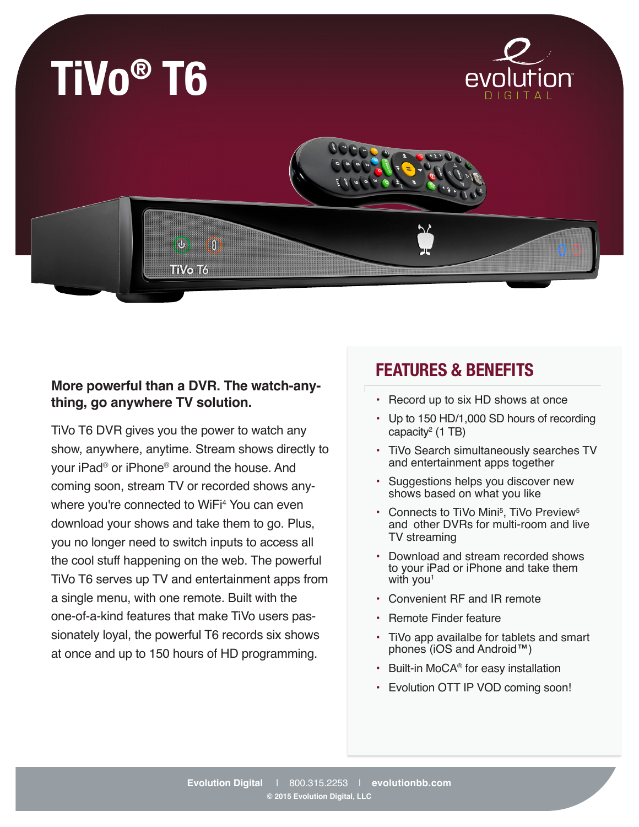

## **More powerful than a DVR. The watch-anything, go anywhere TV solution.**

TiVo T6 DVR gives you the power to watch any show, anywhere, anytime. Stream shows directly to your iPad® or iPhone® around the house. And coming soon, stream TV or recorded shows anywhere you're connected to WiFi4 You can even download your shows and take them to go. Plus, you no longer need to switch inputs to access all the cool stuff happening on the web. The powerful TiVo T6 serves up TV and entertainment apps from a single menu, with one remote. Built with the one-of-a-kind features that make TiVo users passionately loyal, the powerful T6 records six shows at once and up to 150 hours of HD programming.

## **FEATURES & BENEFITS**

- Record up to six HD shows at once
- Up to 150 HD/1,000 SD hours of recording capacity2 (1 TB)
- TiVo Search simultaneously searches TV and entertainment apps together
- Suggestions helps you discover new shows based on what you like
- Connects to TiVo Mini<sup>5</sup>, TiVo Preview<sup>5</sup> and other DVRs for multi-room and live TV streaming
- Download and stream recorded shows to your iPad or iPhone and take them with you<sup>1</sup>
- Convenient RF and IR remote
- Remote Finder feature
- TiVo app availalbe for tablets and smart phones (iOS and Android™)
- Built-in MoCA® for easy installation
- Evolution OTT IP VOD coming soon!